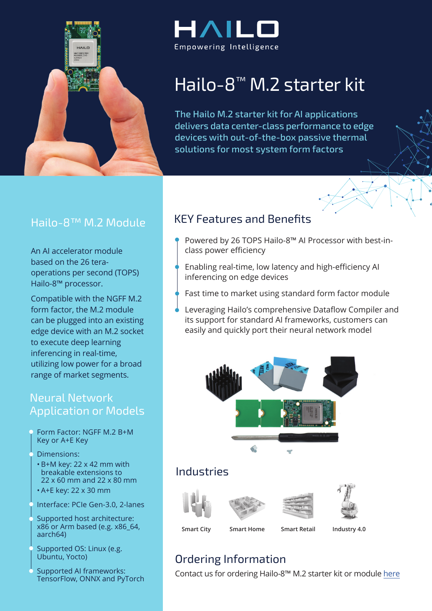

## $\mathsf{4}\mathsf{1}\mathsf{1}$ Empowering Intelligence

# Hailo-8<sup>™</sup> M.2 starter kit

The Hailo M.2 starter kit for AI applications delivers data center-class performance to edge devices with out-of-the-box passive thermal solutions for most system form factors

#### Hailo-8<sup>™</sup> M.2 Module

An AI accelerator module operations per second (TOPS) based on the 26 tera-Hailo-8<sup>™</sup> processor.

Compatible with the NGFF M.2 form factor, the M.2 module can be plugged into an existing edge device with an M.2 socket to execute deep learning inferencing in real-time, utilizing low power for a broad range of market segments.

#### **Neural Network Application or Models**

Form Factor: NGFF M.2 B+M Key or A+E Key

#### Dimensions:

- $\cdot$  B+M key: 22 x 42 mm with breakable extensions to  $22 \times 60$  mm and  $22 \times 80$  mm  $\cdot$  A+E key: 22 x 30 mm
- Interface: PCIe Gen-3.0, 2-lanes
- Supported host architecture:  $x86$  or Arm based (e.g.  $x86$  64, aarch64)
- Supported OS: Linux (e.g. Ubuntu, Yocto)
- Supported AI frameworks: TensorFlow, ONNX and PyTorch

#### **KEY Features and Benefits**

- Powered by 26 TOPS Hailo-8™ AI Processor with best-in-<br>class power efficiency
- Enabling real-time, low latency and high-efficiency AI inferencing on edge devices
- Fast time to market using standard form factor module
- Leveraging Hailo's comprehensive Dataflow Compiler and its support for standard AI frameworks, customers can easily and quickly port their neural network model



## **Industries**









**4.0 Industry Retail Smart Home Smart City Smart**

## Ordering Information

Contact us for ordering Hailo-8™ M.2 starter kit or module [here](https://hailo.ai/product-inquiry-form/)